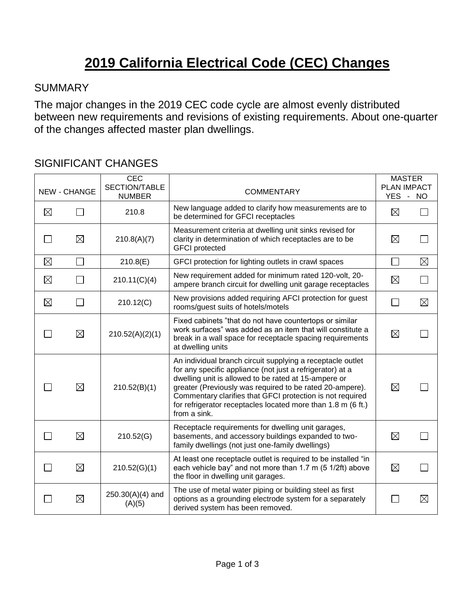# **2019 California Electrical Code (CEC) Changes**

#### **SUMMARY**

The major changes in the 2019 CEC code cycle are almost evenly distributed between new requirements and revisions of existing requirements. About one-quarter of the changes affected master plan dwellings.

### SIGNIFICANT CHANGES

|             | <b>NEW - CHANGE</b> | <b>CEC</b><br>SECTION/TABLE<br><b>NUMBER</b> | <b>COMMENTARY</b>                                                                                                                                                                                                                                                                                                                                                                        | <b>MASTER</b><br>PLAN IMPACT<br>YES - NO |             |
|-------------|---------------------|----------------------------------------------|------------------------------------------------------------------------------------------------------------------------------------------------------------------------------------------------------------------------------------------------------------------------------------------------------------------------------------------------------------------------------------------|------------------------------------------|-------------|
| $\boxtimes$ |                     | 210.8                                        | New language added to clarify how measurements are to<br>be determined for GFCI receptacles                                                                                                                                                                                                                                                                                              | $\boxtimes$                              |             |
|             | ⊠                   | 210.8(A)(7)                                  | Measurement criteria at dwelling unit sinks revised for<br>clarity in determination of which receptacles are to be<br><b>GFCI</b> protected                                                                                                                                                                                                                                              | $\boxtimes$                              |             |
| $\boxtimes$ | $\Box$              | 210.8(E)                                     | GFCI protection for lighting outlets in crawl spaces                                                                                                                                                                                                                                                                                                                                     |                                          | $\boxtimes$ |
| $\boxtimes$ |                     | 210.11(C)(4)                                 | New requirement added for minimum rated 120-volt, 20-<br>ampere branch circuit for dwelling unit garage receptacles                                                                                                                                                                                                                                                                      | $\boxtimes$                              |             |
| $\boxtimes$ |                     | 210.12(C)                                    | New provisions added requiring AFCI protection for guest<br>rooms/guest suits of hotels/motels                                                                                                                                                                                                                                                                                           |                                          | $\boxtimes$ |
|             | $\boxtimes$         | 210.52(A)(2)(1)                              | Fixed cabinets "that do not have countertops or similar<br>work surfaces" was added as an item that will constitute a<br>break in a wall space for receptacle spacing requirements<br>at dwelling units                                                                                                                                                                                  | $\boxtimes$                              |             |
|             | $\boxtimes$         | 210.52(B)(1)                                 | An individual branch circuit supplying a receptacle outlet<br>for any specific appliance (not just a refrigerator) at a<br>dwelling unit is allowed to be rated at 15-ampere or<br>greater (Previously was required to be rated 20-ampere).<br>Commentary clarifies that GFCI protection is not required<br>for refrigerator receptacles located more than 1.8 m (6 ft.)<br>from a sink. | $\boxtimes$                              |             |
|             | $\boxtimes$         | 210.52(G)                                    | Receptacle requirements for dwelling unit garages,<br>basements, and accessory buildings expanded to two-<br>family dwellings (not just one-family dwellings)                                                                                                                                                                                                                            | $\boxtimes$                              |             |
|             | $\boxtimes$         | 210.52(G)(1)                                 | At least one receptacle outlet is required to be installed "in<br>each vehicle bay" and not more than 1.7 m (5 1/2ft) above<br>the floor in dwelling unit garages.                                                                                                                                                                                                                       | $\boxtimes$                              |             |
|             | $\boxtimes$         | $250.30(A)(4)$ and<br>(A)(5)                 | The use of metal water piping or building steel as first<br>options as a grounding electrode system for a separately<br>derived system has been removed.                                                                                                                                                                                                                                 |                                          | $\boxtimes$ |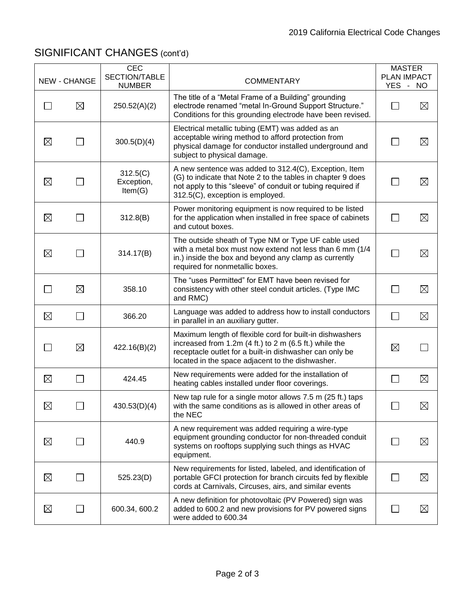## SIGNIFICANT CHANGES (cont'd)

|               | NEW - CHANGE             | <b>CEC</b><br>SECTION/TABLE<br><b>NUMBER</b> | <b>COMMENTARY</b>                                                                                                                                                                                                                     | <b>MASTER</b><br><b>PLAN IMPACT</b><br>YES - NO |             |
|---------------|--------------------------|----------------------------------------------|---------------------------------------------------------------------------------------------------------------------------------------------------------------------------------------------------------------------------------------|-------------------------------------------------|-------------|
| $\mathbf{I}$  | $\boxtimes$              | 250.52(A)(2)                                 | The title of a "Metal Frame of a Building" grounding<br>electrode renamed "metal In-Ground Support Structure."<br>Conditions for this grounding electrode have been revised.                                                          |                                                 | $\boxtimes$ |
| $\boxtimes$   |                          | 300.5(D)(4)                                  | Electrical metallic tubing (EMT) was added as an<br>acceptable wiring method to afford protection from<br>physical damage for conductor installed underground and<br>subject to physical damage.                                      |                                                 | $\boxtimes$ |
| $\boxtimes$   |                          | 312.5(C)<br>Exception,<br>Item(G)            | A new sentence was added to 312.4(C), Exception, Item<br>(G) to indicate that Note 2 to the tables in chapter 9 does<br>not apply to this "sleeve" of conduit or tubing required if<br>312.5(C), exception is employed.               |                                                 | $\boxtimes$ |
| $\boxtimes$   | $\overline{\phantom{a}}$ | 312.8(B)                                     | Power monitoring equipment is now required to be listed<br>for the application when installed in free space of cabinets<br>and cutout boxes.                                                                                          | $\perp$                                         | $\boxtimes$ |
| $\boxtimes$   |                          | 314.17(B)                                    | The outside sheath of Type NM or Type UF cable used<br>with a metal box must now extend not less than 6 mm (1/4<br>in.) inside the box and beyond any clamp as currently<br>required for nonmetallic boxes.                           |                                                 | $\boxtimes$ |
| $\mathcal{L}$ | $\boxtimes$              | 358.10                                       | The "uses Permitted" for EMT have been revised for<br>consistency with other steel conduit articles. (Type IMC<br>and RMC)                                                                                                            | $\perp$                                         | $\boxtimes$ |
| $\boxtimes$   |                          | 366.20                                       | Language was added to address how to install conductors<br>in parallel in an auxiliary gutter.                                                                                                                                        |                                                 | $\boxtimes$ |
|               | $\boxtimes$              | 422.16(B)(2)                                 | Maximum length of flexible cord for built-in dishwashers<br>increased from $1.2m$ (4 ft.) to $2 m$ (6.5 ft.) while the<br>receptacle outlet for a built-in dishwasher can only be<br>located in the space adjacent to the dishwasher. | $\boxtimes$                                     |             |
| $\boxtimes$   |                          | 424.45                                       | New requirements were added for the installation of<br>heating cables installed under floor coverings.                                                                                                                                | $\mathsf{L}$                                    | $\boxtimes$ |
| $\boxtimes$   |                          | 430.53(D)(4)                                 | New tap rule for a single motor allows 7.5 m (25 ft.) taps<br>with the same conditions as is allowed in other areas of<br>the NEC                                                                                                     | $\sqcup$                                        | $\boxtimes$ |
| $\boxtimes$   |                          | 440.9                                        | A new requirement was added requiring a wire-type<br>equipment grounding conductor for non-threaded conduit<br>systems on rooftops supplying such things as HVAC<br>equipment.                                                        |                                                 | $\boxtimes$ |
| $\boxtimes$   |                          | 525.23(D)                                    | New requirements for listed, labeled, and identification of<br>portable GFCI protection for branch circuits fed by flexible<br>cords at Carnivals, Circuses, airs, and similar events                                                 |                                                 | $\boxtimes$ |
| $\boxtimes$   |                          | 600.34, 600.2                                | A new definition for photovoltaic (PV Powered) sign was<br>added to 600.2 and new provisions for PV powered signs<br>were added to 600.34                                                                                             |                                                 | $\boxtimes$ |